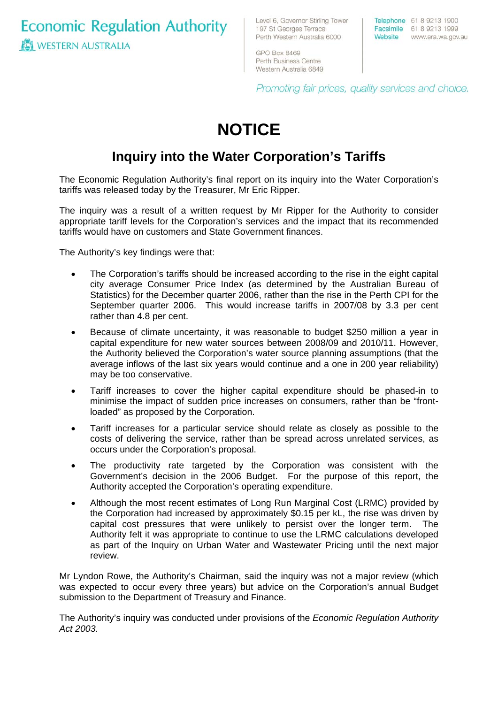**Economic Regulation Authority WESTERN AUSTRALIA** 

Level 6, Governor Stirling Tower 197 St Georges Terrace Perth Western Australia 6000

Telephone 61 8 9213 1900 Facsimile 61 8 9213 1999 Website www.era.wa.gov.au

GPO Box 8469 Perth Business Centre Western Australia 6849

Promoting fair prices, quality services and choice.

# **NOTICE**

## **Inquiry into the Water Corporation's Tariffs**

The Economic Regulation Authority's final report on its inquiry into the Water Corporation's tariffs was released today by the Treasurer, Mr Eric Ripper.

The inquiry was a result of a written request by Mr Ripper for the Authority to consider appropriate tariff levels for the Corporation's services and the impact that its recommended tariffs would have on customers and State Government finances.

The Authority's key findings were that:

- The Corporation's tariffs should be increased according to the rise in the eight capital city average Consumer Price Index (as determined by the Australian Bureau of Statistics) for the December quarter 2006, rather than the rise in the Perth CPI for the September quarter 2006. This would increase tariffs in 2007/08 by 3.3 per cent rather than 4.8 per cent.
- Because of climate uncertainty, it was reasonable to budget \$250 million a year in capital expenditure for new water sources between 2008/09 and 2010/11. However, the Authority believed the Corporation's water source planning assumptions (that the average inflows of the last six years would continue and a one in 200 year reliability) may be too conservative.
- Tariff increases to cover the higher capital expenditure should be phased-in to minimise the impact of sudden price increases on consumers, rather than be "frontloaded" as proposed by the Corporation.
- Tariff increases for a particular service should relate as closely as possible to the costs of delivering the service, rather than be spread across unrelated services, as occurs under the Corporation's proposal.
- The productivity rate targeted by the Corporation was consistent with the Government's decision in the 2006 Budget. For the purpose of this report, the Authority accepted the Corporation's operating expenditure.
- Although the most recent estimates of Long Run Marginal Cost (LRMC) provided by the Corporation had increased by approximately \$0.15 per kL, the rise was driven by capital cost pressures that were unlikely to persist over the longer term. The Authority felt it was appropriate to continue to use the LRMC calculations developed as part of the Inquiry on Urban Water and Wastewater Pricing until the next major review.

Mr Lyndon Rowe, the Authority's Chairman, said the inquiry was not a major review (which was expected to occur every three years) but advice on the Corporation's annual Budget submission to the Department of Treasury and Finance.

The Authority's inquiry was conducted under provisions of the *Economic Regulation Authority Act 2003.*